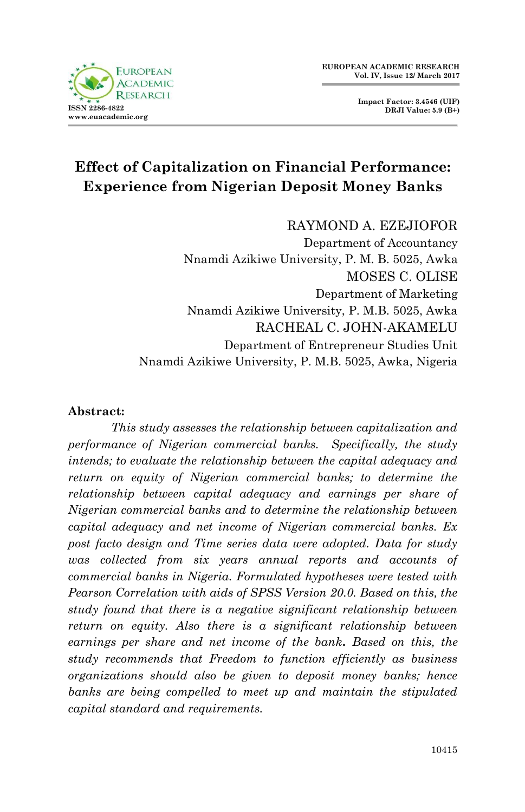



# **Effect of Capitalization on Financial Performance: Experience from Nigerian Deposit Money Banks**

#### RAYMOND A. EZEJIOFOR

Department of Accountancy Nnamdi Azikiwe University, P. M. B. 5025, Awka MOSES C. OLISE Department of Marketing Nnamdi Azikiwe University, P. M.B. 5025, Awka RACHEAL C. JOHN-AKAMELU Department of Entrepreneur Studies Unit Nnamdi Azikiwe University, P. M.B. 5025, Awka, Nigeria

#### **Abstract:**

*This study assesses the relationship between capitalization and performance of Nigerian commercial banks. Specifically, the study intends; to evaluate the relationship between the capital adequacy and*  return on equity of Nigerian commercial banks; to determine the *relationship between capital adequacy and earnings per share of Nigerian commercial banks and to determine the relationship between capital adequacy and net income of Nigerian commercial banks. Ex post facto design and Time series data were adopted. Data for study was collected from six years annual reports and accounts of commercial banks in Nigeria. Formulated hypotheses were tested with Pearson Correlation with aids of SPSS Version 20.0. Based on this, the study found that there is a negative significant relationship between return on equity. Also there is a significant relationship between earnings per share and net income of the bank. Based on this, the study recommends that Freedom to function efficiently as business organizations should also be given to deposit money banks; hence*  banks are being compelled to meet up and maintain the stipulated *capital standard and requirements.*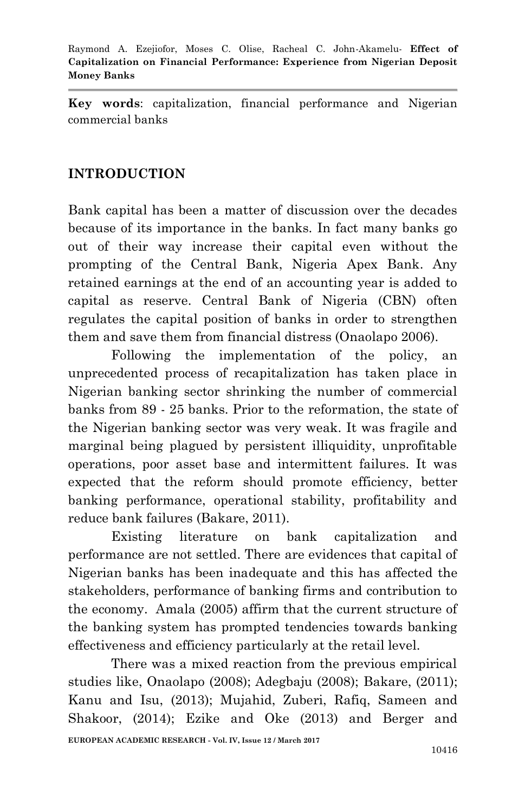**Key words**: capitalization, financial performance and Nigerian commercial banks

## **INTRODUCTION**

Bank capital has been a matter of discussion over the decades because of its importance in the banks. In fact many banks go out of their way increase their capital even without the prompting of the Central Bank, Nigeria Apex Bank. Any retained earnings at the end of an accounting year is added to capital as reserve. Central Bank of Nigeria (CBN) often regulates the capital position of banks in order to strengthen them and save them from financial distress (Onaolapo 2006).

Following the implementation of the policy, an unprecedented process of recapitalization has taken place in Nigerian banking sector shrinking the number of commercial banks from 89 - 25 banks. Prior to the reformation, the state of the Nigerian banking sector was very weak. It was fragile and marginal being plagued by persistent illiquidity, unprofitable operations, poor asset base and intermittent failures. It was expected that the reform should promote efficiency, better banking performance, operational stability, profitability and reduce bank failures (Bakare, 2011).

Existing literature on bank capitalization and performance are not settled. There are evidences that capital of Nigerian banks has been inadequate and this has affected the stakeholders, performance of banking firms and contribution to the economy. Amala (2005) affirm that the current structure of the banking system has prompted tendencies towards banking effectiveness and efficiency particularly at the retail level.

There was a mixed reaction from the previous empirical studies like, Onaolapo (2008); Adegbaju (2008); Bakare, (2011); Kanu and Isu, (2013); Mujahid, Zuberi, Rafiq, Sameen and Shakoor, (2014); Ezike and Oke (2013) and Berger and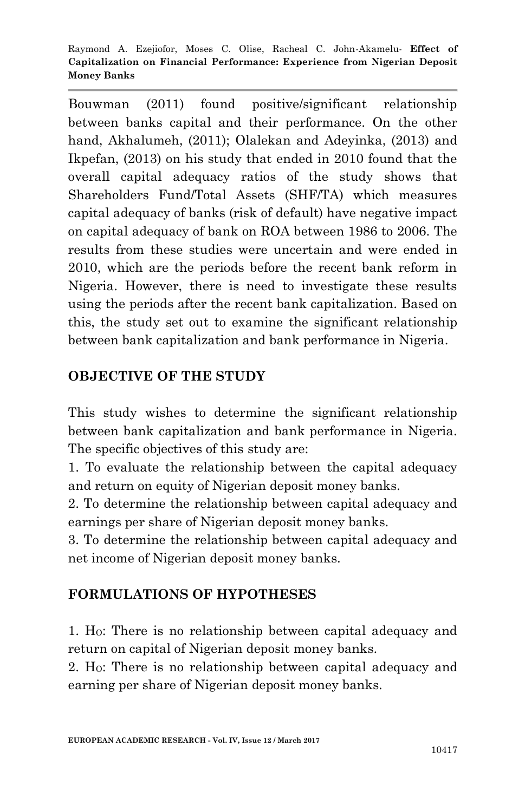Bouwman (2011) found positive/significant relationship between banks capital and their performance. On the other hand, Akhalumeh, (2011); Olalekan and Adeyinka, (2013) and Ikpefan, (2013) on his study that ended in 2010 found that the overall capital adequacy ratios of the study shows that Shareholders Fund/Total Assets (SHF/TA) which measures capital adequacy of banks (risk of default) have negative impact on capital adequacy of bank on ROA between 1986 to 2006. The results from these studies were uncertain and were ended in 2010, which are the periods before the recent bank reform in Nigeria. However, there is need to investigate these results using the periods after the recent bank capitalization. Based on this, the study set out to examine the significant relationship between bank capitalization and bank performance in Nigeria.

## **OBJECTIVE OF THE STUDY**

This study wishes to determine the significant relationship between bank capitalization and bank performance in Nigeria. The specific objectives of this study are:

1. To evaluate the relationship between the capital adequacy and return on equity of Nigerian deposit money banks.

2. To determine the relationship between capital adequacy and earnings per share of Nigerian deposit money banks.

3. To determine the relationship between capital adequacy and net income of Nigerian deposit money banks.

## **FORMULATIONS OF HYPOTHESES**

1. HO: There is no relationship between capital adequacy and return on capital of Nigerian deposit money banks.

2. HO: There is no relationship between capital adequacy and earning per share of Nigerian deposit money banks.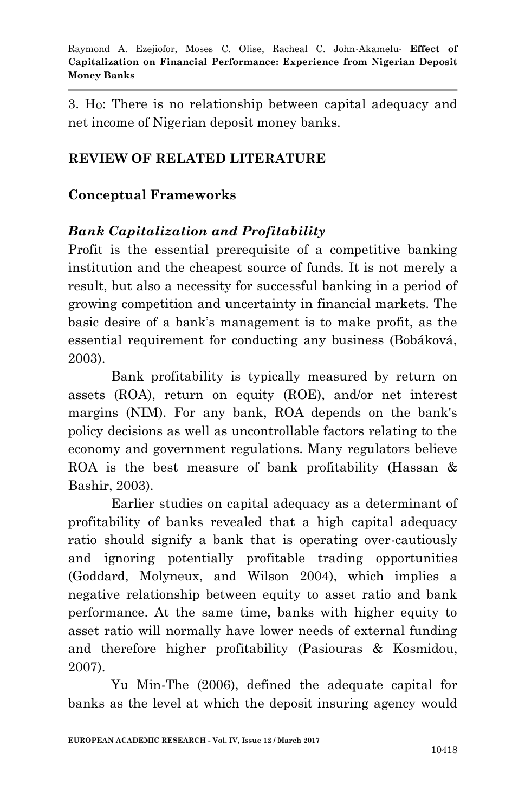3. HO: There is no relationship between capital adequacy and net income of Nigerian deposit money banks.

## **REVIEW OF RELATED LITERATURE**

## **Conceptual Frameworks**

## *Bank Capitalization and Profitability*

Profit is the essential prerequisite of a competitive banking institution and the cheapest source of funds. It is not merely a result, but also a necessity for successful banking in a period of growing competition and uncertainty in financial markets. The basic desire of a bank's management is to make profit, as the essential requirement for conducting any business (Bobáková, 2003).

Bank profitability is typically measured by return on assets (ROA), return on equity (ROE), and/or net interest margins (NIM). For any bank, ROA depends on the bank's policy decisions as well as uncontrollable factors relating to the economy and government regulations. Many regulators believe ROA is the best measure of bank profitability (Hassan & Bashir, 2003).

Earlier studies on capital adequacy as a determinant of profitability of banks revealed that a high capital adequacy ratio should signify a bank that is operating over-cautiously and ignoring potentially profitable trading opportunities (Goddard, Molyneux, and Wilson 2004), which implies a negative relationship between equity to asset ratio and bank performance. At the same time, banks with higher equity to asset ratio will normally have lower needs of external funding and therefore higher profitability (Pasiouras & Kosmidou, 2007).

Yu Min-The (2006), defined the adequate capital for banks as the level at which the deposit insuring agency would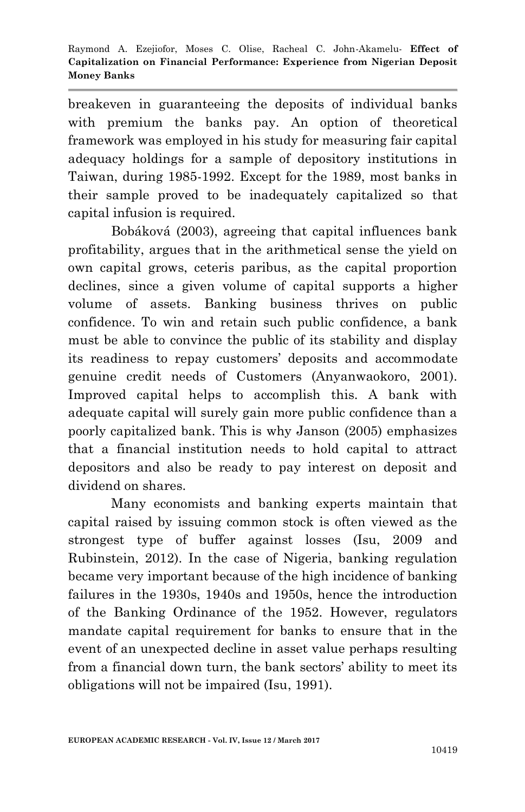breakeven in guaranteeing the deposits of individual banks with premium the banks pay. An option of theoretical framework was employed in his study for measuring fair capital adequacy holdings for a sample of depository institutions in Taiwan, during 1985-1992. Except for the 1989, most banks in their sample proved to be inadequately capitalized so that capital infusion is required.

Bobáková (2003), agreeing that capital influences bank profitability, argues that in the arithmetical sense the yield on own capital grows, ceteris paribus, as the capital proportion declines, since a given volume of capital supports a higher volume of assets. Banking business thrives on public confidence. To win and retain such public confidence, a bank must be able to convince the public of its stability and display its readiness to repay customers' deposits and accommodate genuine credit needs of Customers (Anyanwaokoro, 2001). Improved capital helps to accomplish this. A bank with adequate capital will surely gain more public confidence than a poorly capitalized bank. This is why Janson (2005) emphasizes that a financial institution needs to hold capital to attract depositors and also be ready to pay interest on deposit and dividend on shares.

Many economists and banking experts maintain that capital raised by issuing common stock is often viewed as the strongest type of buffer against losses (Isu, 2009 and Rubinstein, 2012). In the case of Nigeria, banking regulation became very important because of the high incidence of banking failures in the 1930s, 1940s and 1950s, hence the introduction of the Banking Ordinance of the 1952. However, regulators mandate capital requirement for banks to ensure that in the event of an unexpected decline in asset value perhaps resulting from a financial down turn, the bank sectors' ability to meet its obligations will not be impaired (Isu, 1991).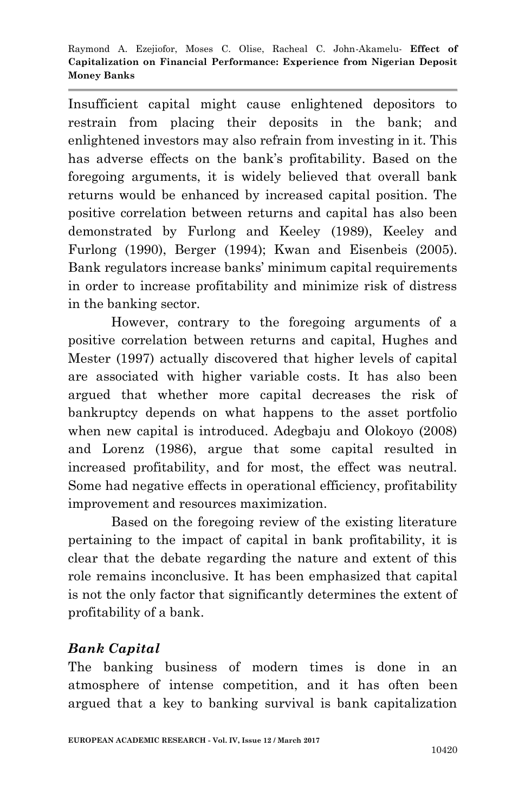Insufficient capital might cause enlightened depositors to restrain from placing their deposits in the bank; and enlightened investors may also refrain from investing in it. This has adverse effects on the bank's profitability. Based on the foregoing arguments, it is widely believed that overall bank returns would be enhanced by increased capital position. The positive correlation between returns and capital has also been demonstrated by Furlong and Keeley (1989), Keeley and Furlong (1990), Berger (1994); Kwan and Eisenbeis (2005). Bank regulators increase banks' minimum capital requirements in order to increase profitability and minimize risk of distress in the banking sector.

However, contrary to the foregoing arguments of a positive correlation between returns and capital, Hughes and Mester (1997) actually discovered that higher levels of capital are associated with higher variable costs. It has also been argued that whether more capital decreases the risk of bankruptcy depends on what happens to the asset portfolio when new capital is introduced. Adegbaju and Olokoyo (2008) and Lorenz (1986), argue that some capital resulted in increased profitability, and for most, the effect was neutral. Some had negative effects in operational efficiency, profitability improvement and resources maximization.

Based on the foregoing review of the existing literature pertaining to the impact of capital in bank profitability, it is clear that the debate regarding the nature and extent of this role remains inconclusive. It has been emphasized that capital is not the only factor that significantly determines the extent of profitability of a bank.

## *Bank Capital*

The banking business of modern times is done in an atmosphere of intense competition, and it has often been argued that a key to banking survival is bank capitalization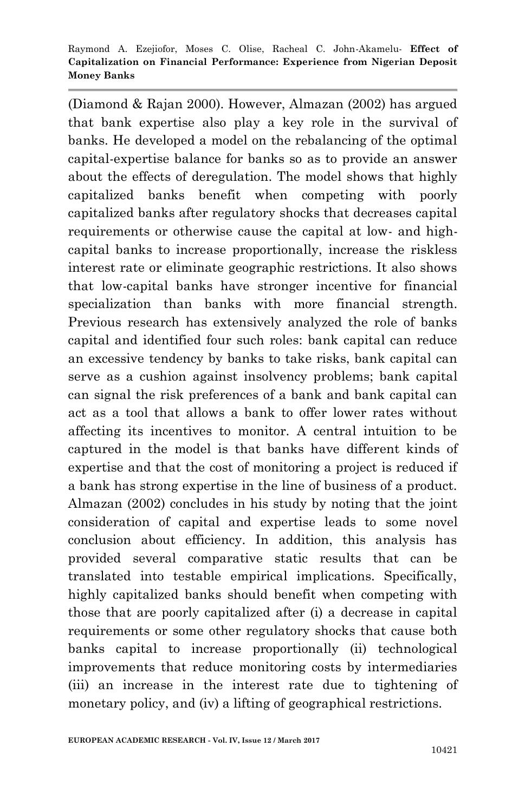(Diamond & Rajan 2000). However, Almazan (2002) has argued that bank expertise also play a key role in the survival of banks. He developed a model on the rebalancing of the optimal capital-expertise balance for banks so as to provide an answer about the effects of deregulation. The model shows that highly capitalized banks benefit when competing with poorly capitalized banks after regulatory shocks that decreases capital requirements or otherwise cause the capital at low- and highcapital banks to increase proportionally, increase the riskless interest rate or eliminate geographic restrictions. It also shows that low-capital banks have stronger incentive for financial specialization than banks with more financial strength. Previous research has extensively analyzed the role of banks capital and identified four such roles: bank capital can reduce an excessive tendency by banks to take risks, bank capital can serve as a cushion against insolvency problems; bank capital can signal the risk preferences of a bank and bank capital can act as a tool that allows a bank to offer lower rates without affecting its incentives to monitor. A central intuition to be captured in the model is that banks have different kinds of expertise and that the cost of monitoring a project is reduced if a bank has strong expertise in the line of business of a product. Almazan (2002) concludes in his study by noting that the joint consideration of capital and expertise leads to some novel conclusion about efficiency. In addition, this analysis has provided several comparative static results that can be translated into testable empirical implications. Specifically, highly capitalized banks should benefit when competing with those that are poorly capitalized after (i) a decrease in capital requirements or some other regulatory shocks that cause both banks capital to increase proportionally (ii) technological improvements that reduce monitoring costs by intermediaries (iii) an increase in the interest rate due to tightening of monetary policy, and (iv) a lifting of geographical restrictions.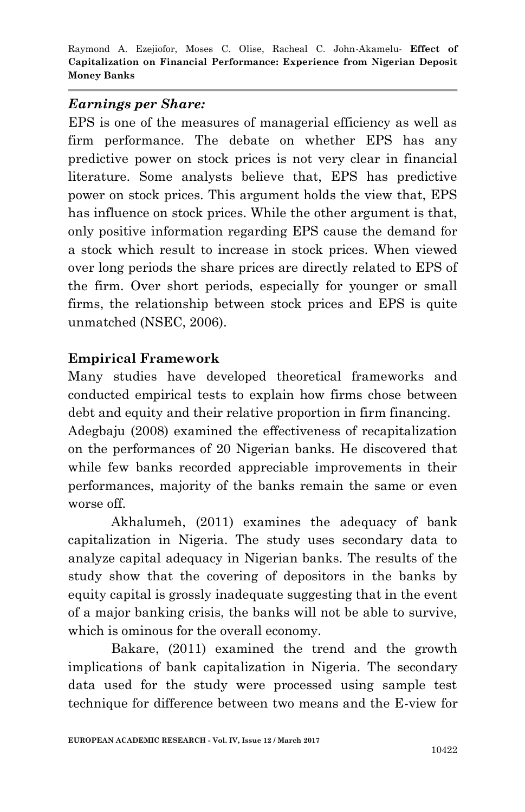## *Earnings per Share:*

EPS is one of the measures of managerial efficiency as well as firm performance. The debate on whether EPS has any predictive power on stock prices is not very clear in financial literature. Some analysts believe that, EPS has predictive power on stock prices. This argument holds the view that, EPS has influence on stock prices. While the other argument is that, only positive information regarding EPS cause the demand for a stock which result to increase in stock prices. When viewed over long periods the share prices are directly related to EPS of the firm. Over short periods, especially for younger or small firms, the relationship between stock prices and EPS is quite unmatched (NSEC, 2006).

## **Empirical Framework**

Many studies have developed theoretical frameworks and conducted empirical tests to explain how firms chose between debt and equity and their relative proportion in firm financing. Adegbaju (2008) examined the effectiveness of recapitalization on the performances of 20 Nigerian banks. He discovered that while few banks recorded appreciable improvements in their performances, majority of the banks remain the same or even worse off.

Akhalumeh, (2011) examines the adequacy of bank capitalization in Nigeria. The study uses secondary data to analyze capital adequacy in Nigerian banks. The results of the study show that the covering of depositors in the banks by equity capital is grossly inadequate suggesting that in the event of a major banking crisis, the banks will not be able to survive, which is ominous for the overall economy.

Bakare, (2011) examined the trend and the growth implications of bank capitalization in Nigeria. The secondary data used for the study were processed using sample test technique for difference between two means and the E-view for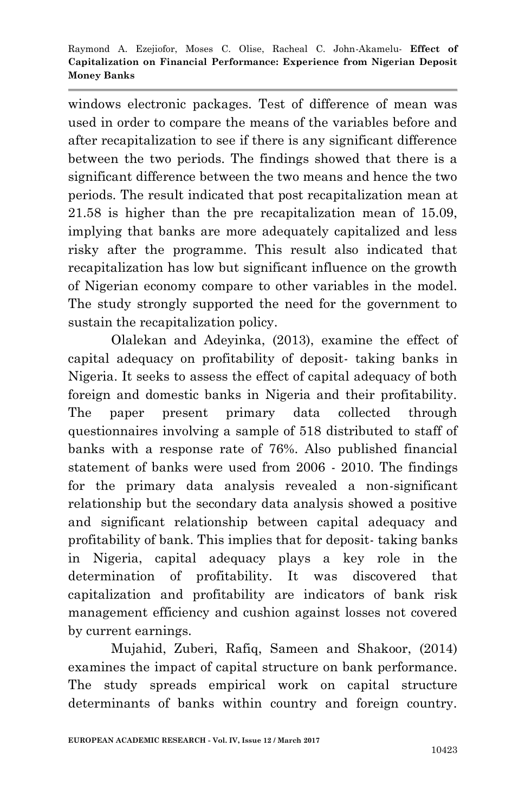windows electronic packages. Test of difference of mean was used in order to compare the means of the variables before and after recapitalization to see if there is any significant difference between the two periods. The findings showed that there is a significant difference between the two means and hence the two periods. The result indicated that post recapitalization mean at 21.58 is higher than the pre recapitalization mean of 15.09, implying that banks are more adequately capitalized and less risky after the programme. This result also indicated that recapitalization has low but significant influence on the growth of Nigerian economy compare to other variables in the model. The study strongly supported the need for the government to sustain the recapitalization policy.

Olalekan and Adeyinka, (2013), examine the effect of capital adequacy on profitability of deposit- taking banks in Nigeria. It seeks to assess the effect of capital adequacy of both foreign and domestic banks in Nigeria and their profitability. The paper present primary data collected through questionnaires involving a sample of 518 distributed to staff of banks with a response rate of 76%. Also published financial statement of banks were used from 2006 - 2010. The findings for the primary data analysis revealed a non-significant relationship but the secondary data analysis showed a positive and significant relationship between capital adequacy and profitability of bank. This implies that for deposit- taking banks in Nigeria, capital adequacy plays a key role in the determination of profitability. It was discovered that capitalization and profitability are indicators of bank risk management efficiency and cushion against losses not covered by current earnings.

Mujahid, Zuberi, Rafiq, Sameen and Shakoor, (2014) examines the impact of capital structure on bank performance. The study spreads empirical work on capital structure determinants of banks within country and foreign country.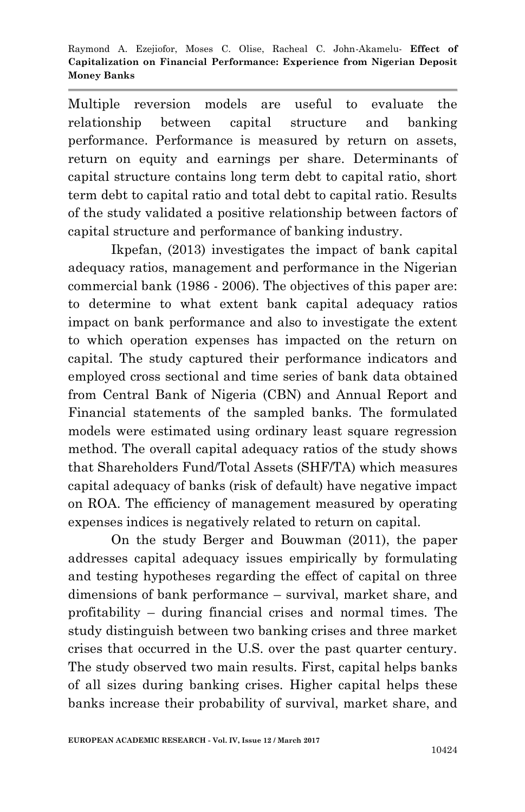Multiple reversion models are useful to evaluate the relationship between capital structure and banking performance. Performance is measured by return on assets, return on equity and earnings per share. Determinants of capital structure contains long term debt to capital ratio, short term debt to capital ratio and total debt to capital ratio. Results of the study validated a positive relationship between factors of capital structure and performance of banking industry.

Ikpefan, (2013) investigates the impact of bank capital adequacy ratios, management and performance in the Nigerian commercial bank (1986 - 2006). The objectives of this paper are: to determine to what extent bank capital adequacy ratios impact on bank performance and also to investigate the extent to which operation expenses has impacted on the return on capital. The study captured their performance indicators and employed cross sectional and time series of bank data obtained from Central Bank of Nigeria (CBN) and Annual Report and Financial statements of the sampled banks. The formulated models were estimated using ordinary least square regression method. The overall capital adequacy ratios of the study shows that Shareholders Fund/Total Assets (SHF/TA) which measures capital adequacy of banks (risk of default) have negative impact on ROA. The efficiency of management measured by operating expenses indices is negatively related to return on capital.

On the study Berger and Bouwman (2011), the paper addresses capital adequacy issues empirically by formulating and testing hypotheses regarding the effect of capital on three dimensions of bank performance – survival, market share, and profitability – during financial crises and normal times. The study distinguish between two banking crises and three market crises that occurred in the U.S. over the past quarter century. The study observed two main results. First, capital helps banks of all sizes during banking crises. Higher capital helps these banks increase their probability of survival, market share, and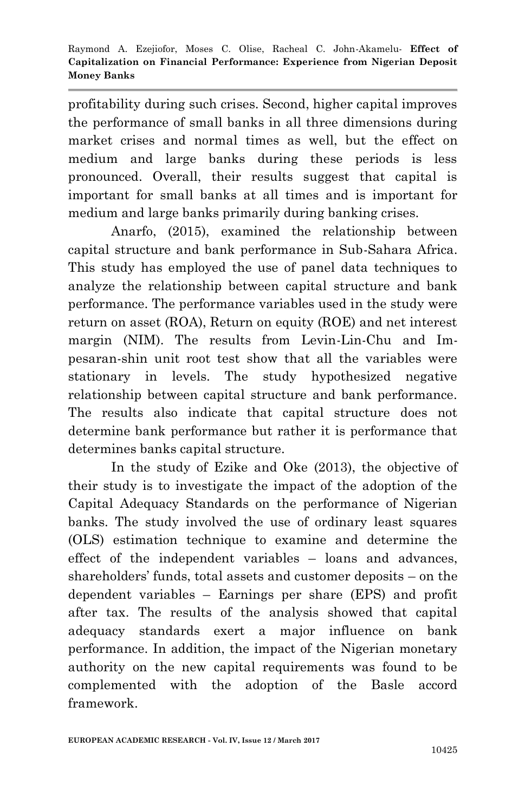profitability during such crises. Second, higher capital improves the performance of small banks in all three dimensions during market crises and normal times as well, but the effect on medium and large banks during these periods is less pronounced. Overall, their results suggest that capital is important for small banks at all times and is important for medium and large banks primarily during banking crises.

Anarfo, (2015), examined the relationship between capital structure and bank performance in Sub-Sahara Africa. This study has employed the use of panel data techniques to analyze the relationship between capital structure and bank performance. The performance variables used in the study were return on asset (ROA), Return on equity (ROE) and net interest margin (NIM). The results from Levin-Lin-Chu and Impesaran-shin unit root test show that all the variables were stationary in levels. The study hypothesized negative relationship between capital structure and bank performance. The results also indicate that capital structure does not determine bank performance but rather it is performance that determines banks capital structure.

In the study of Ezike and Oke (2013), the objective of their study is to investigate the impact of the adoption of the Capital Adequacy Standards on the performance of Nigerian banks. The study involved the use of ordinary least squares (OLS) estimation technique to examine and determine the effect of the independent variables – loans and advances, shareholders' funds, total assets and customer deposits – on the dependent variables – Earnings per share (EPS) and profit after tax. The results of the analysis showed that capital adequacy standards exert a major influence on bank performance. In addition, the impact of the Nigerian monetary authority on the new capital requirements was found to be complemented with the adoption of the Basle accord framework.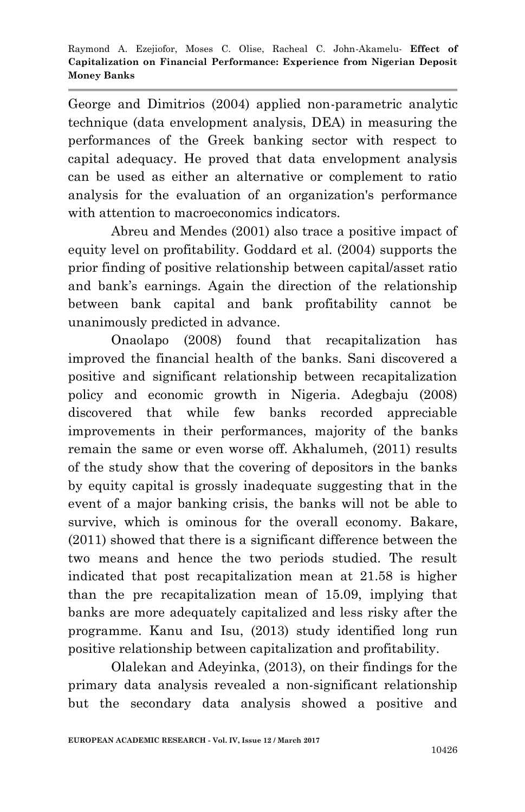George and Dimitrios (2004) applied non-parametric analytic technique (data envelopment analysis, DEA) in measuring the performances of the Greek banking sector with respect to capital adequacy. He proved that data envelopment analysis can be used as either an alternative or complement to ratio analysis for the evaluation of an organization's performance with attention to macroeconomics indicators.

Abreu and Mendes (2001) also trace a positive impact of equity level on profitability. Goddard et al. (2004) supports the prior finding of positive relationship between capital/asset ratio and bank's earnings. Again the direction of the relationship between bank capital and bank profitability cannot be unanimously predicted in advance.

Onaolapo (2008) found that recapitalization has improved the financial health of the banks. Sani discovered a positive and significant relationship between recapitalization policy and economic growth in Nigeria. Adegbaju (2008) discovered that while few banks recorded appreciable improvements in their performances, majority of the banks remain the same or even worse off. Akhalumeh, (2011) results of the study show that the covering of depositors in the banks by equity capital is grossly inadequate suggesting that in the event of a major banking crisis, the banks will not be able to survive, which is ominous for the overall economy. Bakare, (2011) showed that there is a significant difference between the two means and hence the two periods studied. The result indicated that post recapitalization mean at 21.58 is higher than the pre recapitalization mean of 15.09, implying that banks are more adequately capitalized and less risky after the programme. Kanu and Isu, (2013) study identified long run positive relationship between capitalization and profitability.

Olalekan and Adeyinka, (2013), on their findings for the primary data analysis revealed a non-significant relationship but the secondary data analysis showed a positive and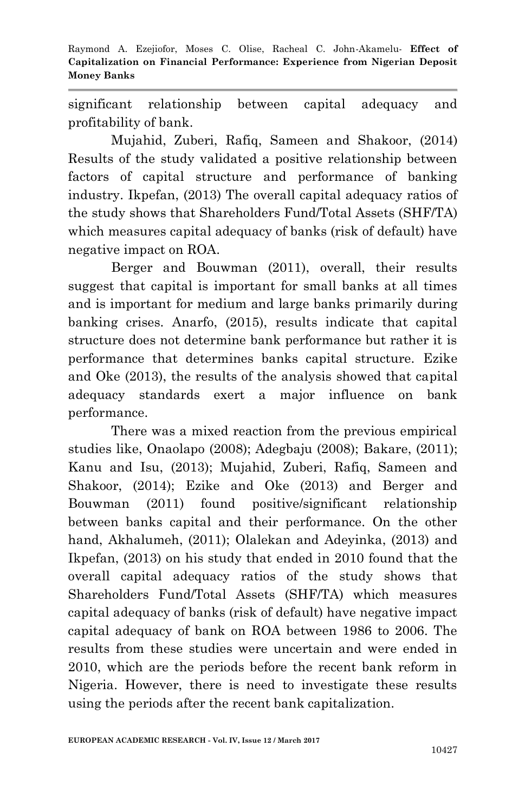significant relationship between capital adequacy and profitability of bank.

Mujahid, Zuberi, Rafiq, Sameen and Shakoor, (2014) Results of the study validated a positive relationship between factors of capital structure and performance of banking industry. Ikpefan, (2013) The overall capital adequacy ratios of the study shows that Shareholders Fund/Total Assets (SHF/TA) which measures capital adequacy of banks (risk of default) have negative impact on ROA.

Berger and Bouwman (2011), overall, their results suggest that capital is important for small banks at all times and is important for medium and large banks primarily during banking crises. Anarfo, (2015), results indicate that capital structure does not determine bank performance but rather it is performance that determines banks capital structure. Ezike and Oke (2013), the results of the analysis showed that capital adequacy standards exert a major influence on bank performance.

There was a mixed reaction from the previous empirical studies like, Onaolapo (2008); Adegbaju (2008); Bakare, (2011); Kanu and Isu, (2013); Mujahid, Zuberi, Rafiq, Sameen and Shakoor, (2014); Ezike and Oke (2013) and Berger and Bouwman (2011) found positive/significant relationship between banks capital and their performance. On the other hand, Akhalumeh, (2011); Olalekan and Adeyinka, (2013) and Ikpefan, (2013) on his study that ended in 2010 found that the overall capital adequacy ratios of the study shows that Shareholders Fund/Total Assets (SHF/TA) which measures capital adequacy of banks (risk of default) have negative impact capital adequacy of bank on ROA between 1986 to 2006. The results from these studies were uncertain and were ended in 2010, which are the periods before the recent bank reform in Nigeria. However, there is need to investigate these results using the periods after the recent bank capitalization.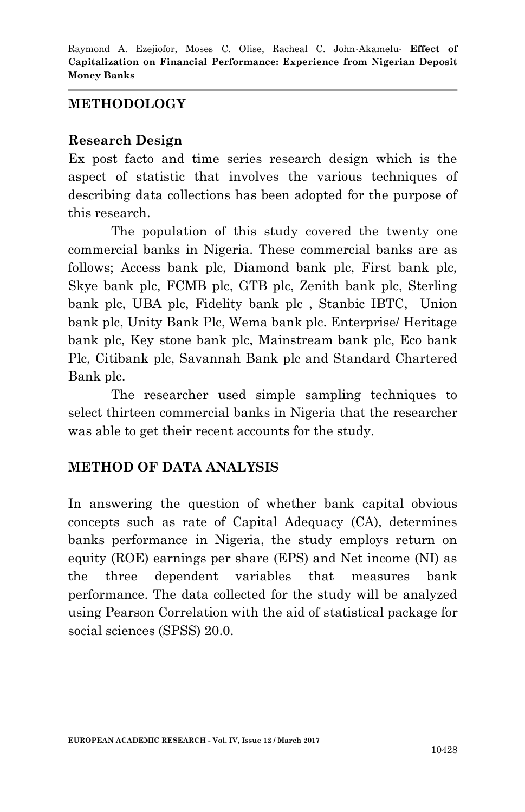#### **METHODOLOGY**

#### **Research Design**

Ex post facto and time series research design which is the aspect of statistic that involves the various techniques of describing data collections has been adopted for the purpose of this research.

The population of this study covered the twenty one commercial banks in Nigeria. These commercial banks are as follows; Access bank plc, Diamond bank plc, First bank plc, Skye bank plc, FCMB plc, GTB plc, Zenith bank plc, Sterling bank plc, UBA plc, Fidelity bank plc , Stanbic IBTC, Union bank plc, Unity Bank Plc, Wema bank plc. Enterprise/ Heritage bank plc, Key stone bank plc, Mainstream bank plc, Eco bank Plc, Citibank plc, Savannah Bank plc and Standard Chartered Bank plc.

The researcher used simple sampling techniques to select thirteen commercial banks in Nigeria that the researcher was able to get their recent accounts for the study.

#### **METHOD OF DATA ANALYSIS**

In answering the question of whether bank capital obvious concepts such as rate of Capital Adequacy (CA), determines banks performance in Nigeria, the study employs return on equity (ROE) earnings per share (EPS) and Net income (NI) as the three dependent variables that measures bank performance. The data collected for the study will be analyzed using Pearson Correlation with the aid of statistical package for social sciences (SPSS) 20.0.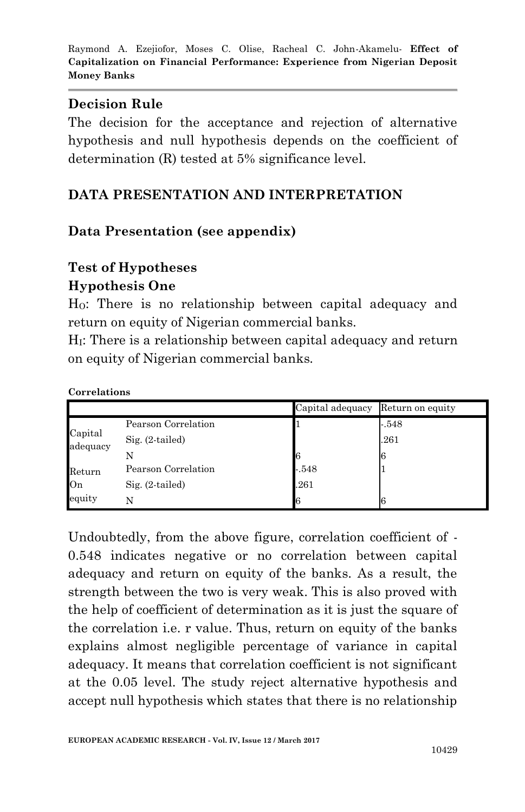#### **Decision Rule**

The decision for the acceptance and rejection of alternative hypothesis and null hypothesis depends on the coefficient of determination (R) tested at 5% significance level.

## **DATA PRESENTATION AND INTERPRETATION**

## **Data Presentation (see appendix)**

## **Test of Hypotheses**

#### **Hypothesis One**

HO: There is no relationship between capital adequacy and return on equity of Nigerian commercial banks.

H<sub>I</sub>: There is a relationship between capital adequacy and return on equity of Nigerian commercial banks.

#### **Correlations**

|                     |                     | Capital adequacy Return on equity |        |
|---------------------|---------------------|-----------------------------------|--------|
|                     | Pearson Correlation |                                   | $-548$ |
| Capital<br>adequacy | $Sig. (2-tailed)$   |                                   | .261   |
|                     |                     |                                   |        |
| Return              | Pearson Correlation | $-548$                            |        |
| On                  | $Sig. (2-tailed)$   | .261                              |        |
| equity              | N                   |                                   |        |

Undoubtedly, from the above figure, correlation coefficient of - 0.548 indicates negative or no correlation between capital adequacy and return on equity of the banks. As a result, the strength between the two is very weak. This is also proved with the help of coefficient of determination as it is just the square of the correlation i.e. r value. Thus, return on equity of the banks explains almost negligible percentage of variance in capital adequacy. It means that correlation coefficient is not significant at the 0.05 level. The study reject alternative hypothesis and accept null hypothesis which states that there is no relationship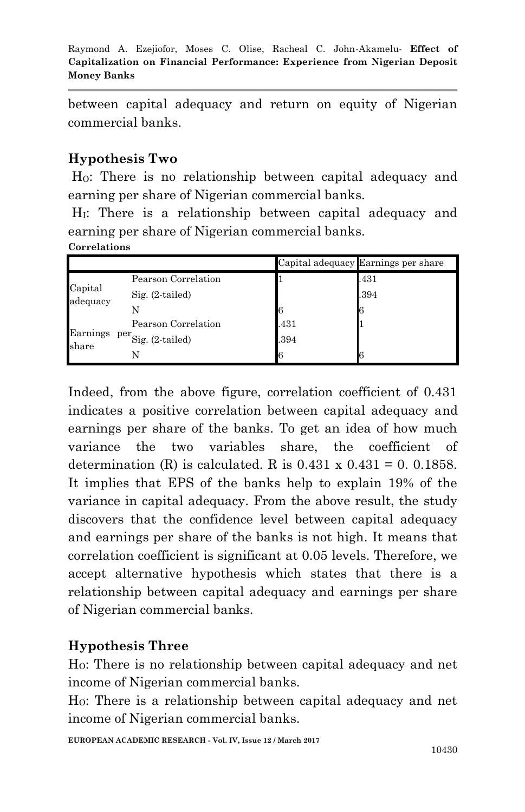between capital adequacy and return on equity of Nigerian commercial banks.

## **Hypothesis Two**

HO: There is no relationship between capital adequacy and earning per share of Nigerian commercial banks.

H<sub>I</sub>: There is a relationship between capital adequacy and earning per share of Nigerian commercial banks.

#### **Correlations**

|                     |                                      |      | Capital adequacy Earnings per share |
|---------------------|--------------------------------------|------|-------------------------------------|
|                     | Pearson Correlation                  |      | .431                                |
| Capital<br>adequacy | $Sig. (2-tailed)$                    |      | .394                                |
|                     |                                      | 16   | 6                                   |
|                     | Pearson Correlation                  | .431 |                                     |
| Earnings<br>share   | $per$ <sup>per</sup> Sig. (2-tailed) | .394 |                                     |
|                     |                                      | l6   | ĥ                                   |

Indeed, from the above figure, correlation coefficient of 0.431 indicates a positive correlation between capital adequacy and earnings per share of the banks. To get an idea of how much variance the two variables share, the coefficient of determination (R) is calculated. R is  $0.431 \times 0.431 = 0.01858$ . It implies that EPS of the banks help to explain 19% of the variance in capital adequacy. From the above result, the study discovers that the confidence level between capital adequacy and earnings per share of the banks is not high. It means that correlation coefficient is significant at 0.05 levels. Therefore, we accept alternative hypothesis which states that there is a relationship between capital adequacy and earnings per share of Nigerian commercial banks.

## **Hypothesis Three**

HO: There is no relationship between capital adequacy and net income of Nigerian commercial banks.

HO: There is a relationship between capital adequacy and net income of Nigerian commercial banks.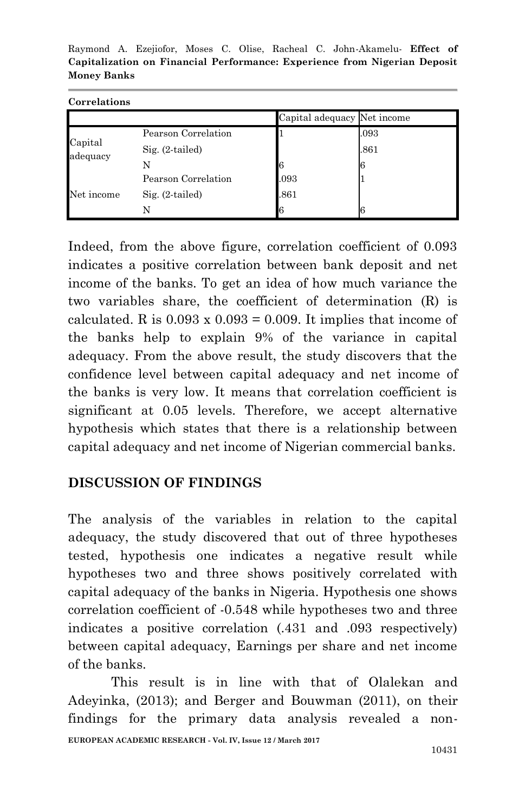|                                                                           |  |  |  |  |  |  |  | Raymond A. Ezejiofor, Moses C. Olise, Racheal C. John-Akamelu- Effect of |  |
|---------------------------------------------------------------------------|--|--|--|--|--|--|--|--------------------------------------------------------------------------|--|
| Capitalization on Financial Performance: Experience from Nigerian Deposit |  |  |  |  |  |  |  |                                                                          |  |
| Money Banks                                                               |  |  |  |  |  |  |  |                                                                          |  |

|                     |                     | Capital adequacy Net income |      |
|---------------------|---------------------|-----------------------------|------|
|                     | Pearson Correlation |                             | .093 |
| Capital<br>adequacy | $Sig. (2-tailed)$   |                             | .861 |
|                     |                     |                             | 16   |
|                     | Pearson Correlation | .093                        |      |
| Net income          | $Sig. (2-tailed)$   | .861                        |      |
|                     |                     |                             | l6   |

**Correlations**

Indeed, from the above figure, correlation coefficient of 0.093 indicates a positive correlation between bank deposit and net income of the banks. To get an idea of how much variance the two variables share, the coefficient of determination (R) is calculated. R is  $0.093 \times 0.093 = 0.009$ . It implies that income of the banks help to explain 9% of the variance in capital adequacy. From the above result, the study discovers that the confidence level between capital adequacy and net income of the banks is very low. It means that correlation coefficient is significant at 0.05 levels. Therefore, we accept alternative hypothesis which states that there is a relationship between capital adequacy and net income of Nigerian commercial banks.

## **DISCUSSION OF FINDINGS**

The analysis of the variables in relation to the capital adequacy, the study discovered that out of three hypotheses tested, hypothesis one indicates a negative result while hypotheses two and three shows positively correlated with capital adequacy of the banks in Nigeria. Hypothesis one shows correlation coefficient of -0.548 while hypotheses two and three indicates a positive correlation (.431 and .093 respectively) between capital adequacy, Earnings per share and net income of the banks.

**EUROPEAN ACADEMIC RESEARCH - Vol. IV, Issue 12 / March 2017** This result is in line with that of Olalekan and Adeyinka, (2013); and Berger and Bouwman (2011), on their findings for the primary data analysis revealed a non-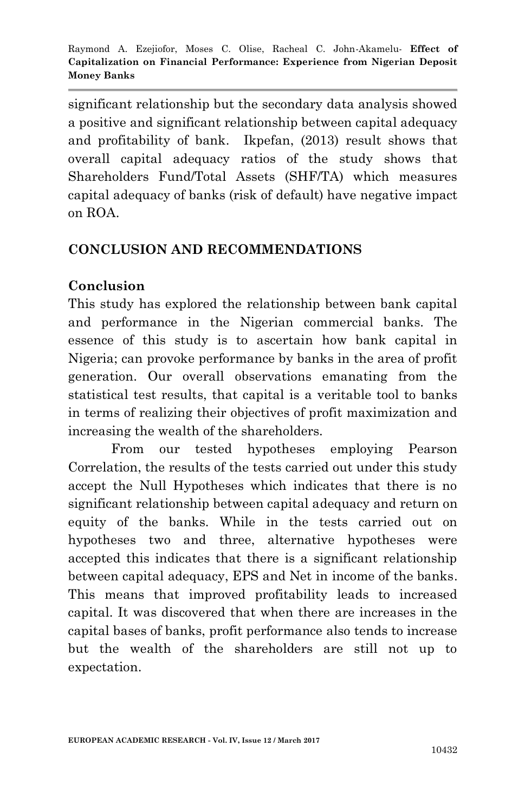significant relationship but the secondary data analysis showed a positive and significant relationship between capital adequacy and profitability of bank. Ikpefan, (2013) result shows that overall capital adequacy ratios of the study shows that Shareholders Fund/Total Assets (SHF/TA) which measures capital adequacy of banks (risk of default) have negative impact on ROA.

#### **CONCLUSION AND RECOMMENDATIONS**

#### **Conclusion**

This study has explored the relationship between bank capital and performance in the Nigerian commercial banks. The essence of this study is to ascertain how bank capital in Nigeria; can provoke performance by banks in the area of profit generation. Our overall observations emanating from the statistical test results, that capital is a veritable tool to banks in terms of realizing their objectives of profit maximization and increasing the wealth of the shareholders.

From our tested hypotheses employing Pearson Correlation, the results of the tests carried out under this study accept the Null Hypotheses which indicates that there is no significant relationship between capital adequacy and return on equity of the banks. While in the tests carried out on hypotheses two and three, alternative hypotheses were accepted this indicates that there is a significant relationship between capital adequacy, EPS and Net in income of the banks. This means that improved profitability leads to increased capital. It was discovered that when there are increases in the capital bases of banks, profit performance also tends to increase but the wealth of the shareholders are still not up to expectation.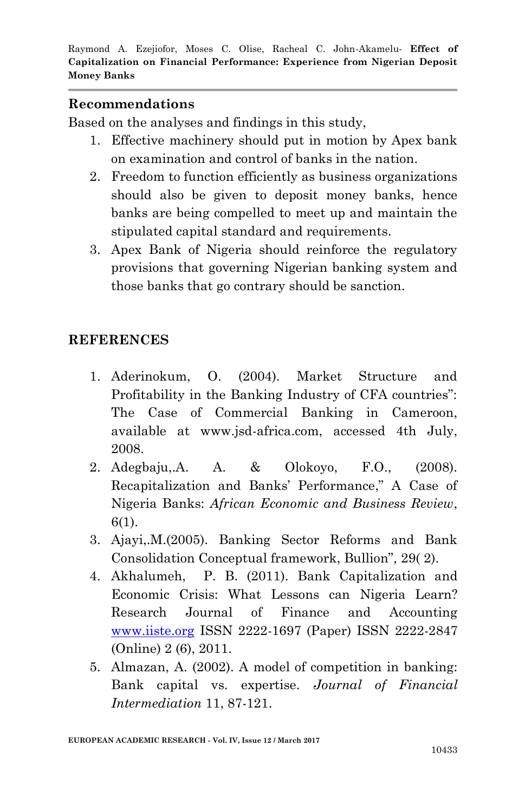#### **Recommendations**

Based on the analyses and findings in this study,

- 1. Effective machinery should put in motion by Apex bank on examination and control of banks in the nation.
- 2. Freedom to function efficiently as business organizations should also be given to deposit money banks, hence banks are being compelled to meet up and maintain the stipulated capital standard and requirements.
- 3. Apex Bank of Nigeria should reinforce the regulatory provisions that governing Nigerian banking system and those banks that go contrary should be sanction.

#### **REFERENCES**

- 1. Aderinokum, O. (2004). Market Structure and Profitability in the Banking Industry of CFA countries": The Case of Commercial Banking in Cameroon, available at www.jsd-africa.com, accessed 4th July, 2008.
- 2. Adegbaju,.A. A. & Olokoyo, F.O., (2008). Recapitalization and Banks' Performance," A Case of Nigeria Banks: *African Economic and Business Review*, 6(1).
- 3. Ajayi,.M.(2005). Banking Sector Reforms and Bank Consolidation Conceptual framework, Bullion"*,* 29( 2).
- 4. Akhalumeh, P. B. (2011). Bank Capitalization and Economic Crisis: What Lessons can Nigeria Learn? Research Journal of Finance and Accounting [www.iiste.org](http://www.iiste.org/) ISSN 2222-1697 (Paper) ISSN 2222-2847 (Online) 2 (6), 2011.
- 5. Almazan, A. (2002). A model of competition in banking: Bank capital vs. expertise. *Journal of Financial Intermediation* 11, 87-121.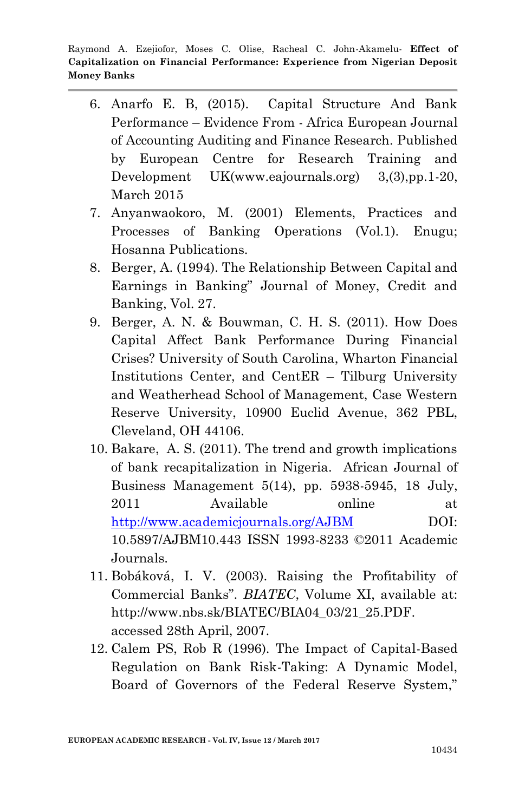- 6. Anarfo E. B, (2015). Capital Structure And Bank Performance – Evidence From - Africa European Journal of Accounting Auditing and Finance Research. Published by European Centre for Research Training and Development UK(www.eajournals.org) 3,(3),pp.1-20, March 2015
- 7. Anyanwaokoro, M. (2001) Elements, Practices and Processes of Banking Operations (Vol.1). Enugu; Hosanna Publications.
- 8. Berger, A. (1994). The Relationship Between Capital and Earnings in Banking" Journal of Money, Credit and Banking, Vol. 27.
- 9. Berger, A. N. & Bouwman, C. H. S. (2011). How Does Capital Affect Bank Performance During Financial Crises? University of South Carolina, Wharton Financial Institutions Center, and CentER – Tilburg University and Weatherhead School of Management, Case Western Reserve University, 10900 Euclid Avenue, 362 PBL, Cleveland, OH 44106.
- 10. Bakare, A. S. (2011). The trend and growth implications of bank recapitalization in Nigeria. African Journal of Business Management 5(14), pp. 5938-5945, 18 July, 2011 Available online at <http://www.academicjournals.org/AJBM> DOI: 10.5897/AJBM10.443 ISSN 1993-8233 ©2011 Academic Journals.
- 11. Bobáková, I. V. (2003). Raising the Profitability of Commercial Banks". *BIATEC*, Volume XI, available at: http://www.nbs.sk/BIATEC/BIA04\_03/21\_25.PDF. accessed 28th April, 2007.
- 12. Calem PS, Rob R (1996). The Impact of Capital-Based Regulation on Bank Risk-Taking: A Dynamic Model, Board of Governors of the Federal Reserve System,"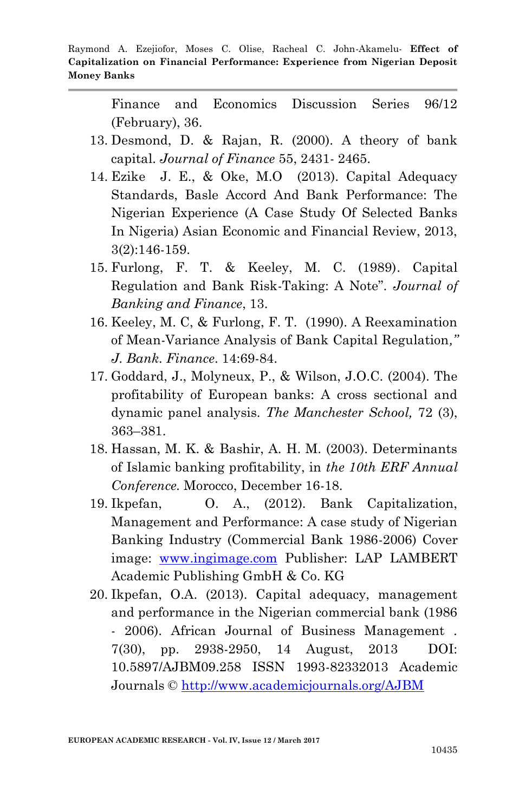Finance and Economics Discussion Series 96/12 (February), 36.

- 13. Desmond, D. & Rajan, R. (2000). A theory of bank capital. *Journal of Finance* 55, 2431- 2465.
- 14. Ezike J. E., & Oke, M.O (2013). Capital Adequacy Standards, Basle Accord And Bank Performance: The Nigerian Experience (A Case Study Of Selected Banks In Nigeria) Asian Economic and Financial Review, 2013, 3(2):146-159.
- 15. Furlong, F. T. & Keeley, M. C. (1989). Capital Regulation and Bank Risk-Taking: A Note". *Journal of Banking and Finance*, 13.
- 16. Keeley, M. C, & Furlong, F. T. (1990). A Reexamination of Mean-Variance Analysis of Bank Capital Regulation*," J. Bank. Finance*. 14:69-84.
- 17. Goddard, J., Molyneux, P., & Wilson, J.O.C. (2004). The profitability of European banks: A cross sectional and dynamic panel analysis. *The Manchester School,* 72 (3), 363–381.
- 18. Hassan, M. K. & Bashir, A. H. M. (2003). Determinants of Islamic banking profitability, in *the 10th ERF Annual Conference.* Morocco, December 16-18.
- 19. Ikpefan, O. A., (2012). Bank Capitalization, Management and Performance: A case study of Nigerian Banking Industry (Commercial Bank 1986-2006) Cover image: [www.ingimage.com](http://www.ingimage.com/) Publisher: LAP LAMBERT Academic Publishing GmbH & Co. KG
- 20. Ikpefan, O.A. (2013). Capital adequacy, management and performance in the Nigerian commercial bank (1986 - 2006). African Journal of Business Management . 7(30), pp. 2938-2950, 14 August, 2013 DOI: 10.5897/AJBM09.258 ISSN 1993-82332013 Academic Journals ©<http://www.academicjournals.org/AJBM>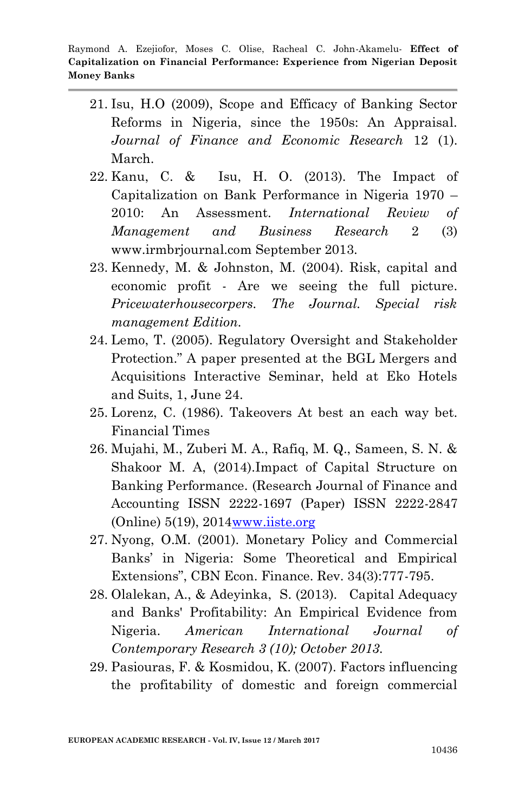- 21. Isu, H.O (2009), Scope and Efficacy of Banking Sector Reforms in Nigeria, since the 1950s: An Appraisal. *Journal of Finance and Economic Research* 12 (1). March.
- 22. Kanu, C. & Isu, H. O. (2013). The Impact of Capitalization on Bank Performance in Nigeria 1970 – 2010: An Assessment. *International Review of Management and Business Research* 2 (3) www.irmbrjournal.com September 2013.
- 23. Kennedy, M. & Johnston, M. (2004). Risk, capital and economic profit - Are we seeing the full picture. *Pricewaterhousecorpers. The Journal. Special risk management Edition.*
- 24. Lemo, T. (2005). Regulatory Oversight and Stakeholder Protection." A paper presented at the BGL Mergers and Acquisitions Interactive Seminar, held at Eko Hotels and Suits, 1, June 24.
- 25. Lorenz, C. (1986). Takeovers At best an each way bet. Financial Times
- 26. Mujahi, M., Zuberi M. A., Rafiq, M. Q., Sameen, S. N. & Shakoor M. A, (2014).Impact of Capital Structure on Banking Performance. (Research Journal of Finance and Accounting ISSN 2222-1697 (Paper) ISSN 2222-2847 (Online) 5(19), 201[4www.iiste.org](http://www.iiste.org/)
- 27. Nyong, O.M. (2001). Monetary Policy and Commercial Banks' in Nigeria: Some Theoretical and Empirical Extensions", CBN Econ. Finance. Rev. 34(3):777-795.
- 28. Olalekan, A., & Adeyinka, S. (2013). Capital Adequacy and Banks' Profitability: An Empirical Evidence from Nigeria. *American International Journal of Contemporary Research 3 (10); October 2013.*
- 29. Pasiouras, F. & Kosmidou, K. (2007). Factors influencing the profitability of domestic and foreign commercial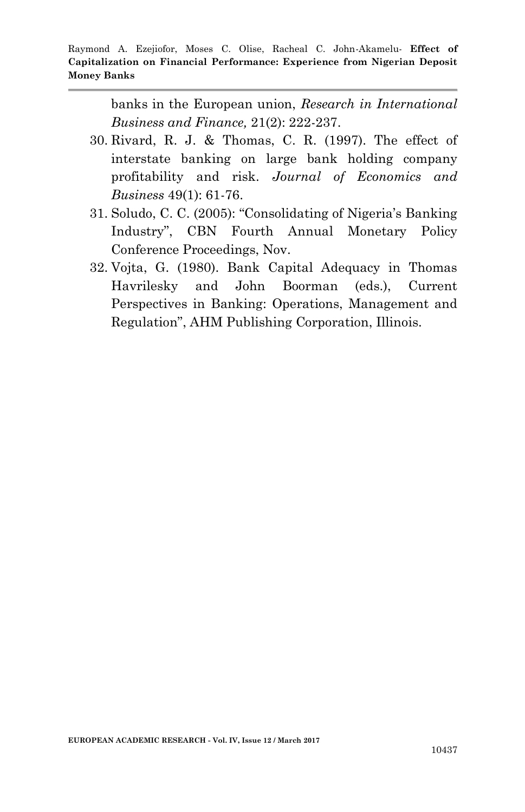banks in the European union, *Research in International Business and Finance,* 21(2): 222-237.

- 30. Rivard, R. J. & Thomas, C. R. (1997). The effect of interstate banking on large bank holding company profitability and risk. *Journal of Economics and Business* 49(1): 61-76.
- 31. Soludo, C. C. (2005): "Consolidating of Nigeria's Banking Industry", CBN Fourth Annual Monetary Policy Conference Proceedings, Nov.
- 32. Vojta, G. (1980). Bank Capital Adequacy in Thomas Havrilesky and John Boorman (eds.), Current Perspectives in Banking: Operations, Management and Regulation", AHM Publishing Corporation, Illinois.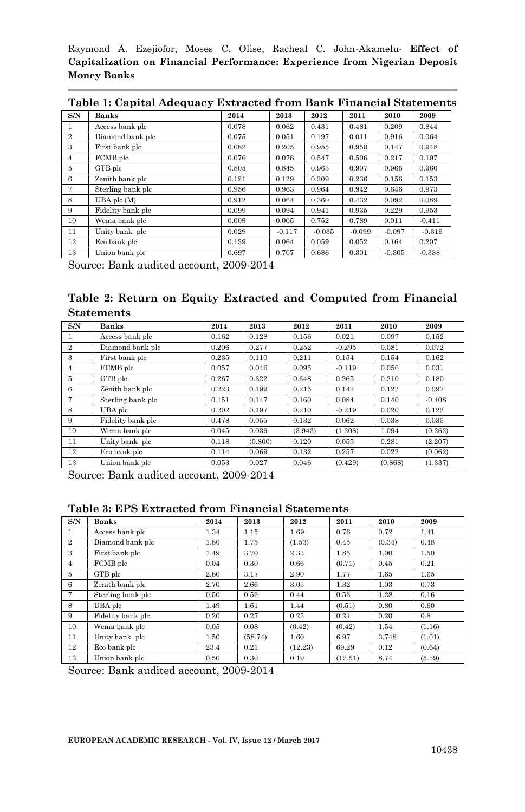|                | Table 1. Capital Auequacy Extracted Holli Dalik Financial Statements |       |          |          |          |          |          |  |  |  |
|----------------|----------------------------------------------------------------------|-------|----------|----------|----------|----------|----------|--|--|--|
| S/N            | <b>Banks</b>                                                         | 2014  | 2013     | 2012     | 2011     | 2010     | 2009     |  |  |  |
|                | Access bank plc                                                      | 0.078 | 0.062    | 0.431    | 0.481    | 0.209    | 0.844    |  |  |  |
| $\overline{2}$ | Diamond bank plc                                                     | 0.075 | 0.051    | 0.197    | 0.011    | 0.916    | 0.064    |  |  |  |
| 3              | First bank plc                                                       | 0.082 | 0.205    | 0.955    | 0.950    | 0.147    | 0.948    |  |  |  |
| 4              | FCMB plc                                                             | 0.076 | 0.078    | 0.547    | 0.506    | 0.217    | 0.197    |  |  |  |
| 5              | GTB plc                                                              | 0.805 | 0.845    | 0.963    | 0.907    | 0.966    | 0.960    |  |  |  |
| 6              | Zenith bank plc                                                      | 0.121 | 0.129    | 0.209    | 0.236    | 0.156    | 0.153    |  |  |  |
| 7              | Sterling bank plc                                                    | 0.956 | 0.963    | 0.964    | 0.942    | 0.646    | 0.973    |  |  |  |
| 8              | UBA plc (M)                                                          | 0.912 | 0.064    | 0.360    | 0.432    | 0.092    | 0.089    |  |  |  |
| 9              | Fidelity bank plc                                                    | 0.099 | 0.094    | 0.941    | 0.935    | 0.229    | 0.953    |  |  |  |
| 10             | Wema bank plc                                                        | 0.009 | 0.005    | 0.752    | 0.789    | 0.011    | $-0.411$ |  |  |  |
| 11             | Unity bank plc                                                       | 0.029 | $-0.117$ | $-0.035$ | $-0.099$ | $-0.097$ | $-0.319$ |  |  |  |
| 12             | Eco bank plc                                                         | 0.139 | 0.064    | 0.059    | 0.052    | 0.164    | 0.207    |  |  |  |
| 13             | Union bank plc                                                       | 0.697 | 0.707    | 0.686    | 0.301    | $-0.305$ | $-0.338$ |  |  |  |

**Table 1: Capital Adequacy Extracted from Bank Financial Statements**

Source: Bank audited account, 2009-2014

**Table 2: Return on Equity Extracted and Computed from Financial Statements**

| S/N            | Banks             | 2014  | 2013    | 2012    | 2011     | 2010    | 2009     |
|----------------|-------------------|-------|---------|---------|----------|---------|----------|
|                | Access bank plc   | 0.162 | 0.128   | 0.156   | 0.021    | 0.097   | 0.152    |
| $\overline{2}$ | Diamond bank plc  | 0.206 | 0.277   | 0.252   | $-0.295$ | 0.081   | 0.072    |
| 3              | First bank plc    | 0.235 | 0.110   | 0.211   | 0.154    | 0.154   | 0.162    |
| 4              | FCMB plc          | 0.057 | 0.046   | 0.095   | $-0.119$ | 0.056   | 0.031    |
| 5              | GTB plc           | 0.267 | 0.322   | 0.348   | 0.265    | 0.210   | 0.180    |
| 6              | Zenith bank plc   | 0.223 | 0.199   | 0.215   | 0.142    | 0.122   | 0.097    |
| 7              | Sterling bank plc | 0.151 | 0.147   | 0.160   | 0.084    | 0.140   | $-0.408$ |
| 8              | UBA plc           | 0.202 | 0.197   | 0.210   | $-0.219$ | 0.020   | 0.122    |
| 9              | Fidelity bank plc | 0.478 | 0.055   | 0.132   | 0.062    | 0.038   | 0.035    |
| 10             | Wema bank plc     | 0.045 | 0.039   | (3.943) | (1.208)  | 1.094   | (0.262)  |
| 11             | Unity bank plc    | 0.118 | (0.800) | 0.120   | 0.055    | 0.281   | (2.207)  |
| 12             | Eco bank plc      | 0.114 | 0.069   | 0.132   | 0.257    | 0.022   | (0.062)  |
| 13             | Union bank plc    | 0.053 | 0.027   | 0.046   | (0.429)  | (0.868) | (1.337)  |

Source: Bank audited account, 2009-2014

#### **Table 3: EPS Extracted from Financial Statements**

| S/N            | <b>Banks</b>      | 2014 | 2013    | 2012    | 2011    | 2010   | 2009   |
|----------------|-------------------|------|---------|---------|---------|--------|--------|
| 1              | Access bank plc   | 1.34 | 1.15    | 1.69    | 0.76    | 0.72   | 1.41   |
| $\overline{2}$ | Diamond bank plc  | 1.80 | 1.75    | (1.53)  | 0.45    | (0.34) | 0.48   |
| 3              | First bank plc    | 1.49 | 3.70    | 2.33    | 1.85    | 1.00   | 1.50   |
| $\overline{4}$ | FCMB plc          | 0.04 | 0.30    | 0.66    | (0.71)  | 0.45   | 0.21   |
| 5              | GTB plc           | 2.80 | 3.17    | 2.90    | 1.77    | 1.65   | 1.65   |
| 6              | Zenith bank plc   | 2.70 | 2.66    | 3.05    | 1.32    | 1.03   | 0.73   |
| 7              | Sterling bank plc | 0.50 | 0.52    | 0.44    | 0.53    | 1.28   | 0.16   |
| 8              | UBA plc           | 1.49 | 1.61    | 1.44    | (0.51)  | 0.80   | 0.60   |
| 9              | Fidelity bank plc | 0.20 | 0.27    | 0.25    | 0.21    | 0.20   | 0.8    |
| 10             | Wema bank plc     | 0.05 | 0.08    | (0.42)  | (0.42)  | 1.54   | (1.16) |
| 11             | Unity bank plc    | 1.50 | (58.74) | 1.60    | 6.97    | 3.748  | (1.01) |
| 12             | Eco bank plc      | 23.4 | 0.21    | (12.23) | 69.29   | 0.12   | (0.64) |
| 13             | Union bank plc    | 0.50 | 0.30    | 0.19    | (12.51) | 8.74   | (5.39) |

Source: Bank audited account, 2009-2014